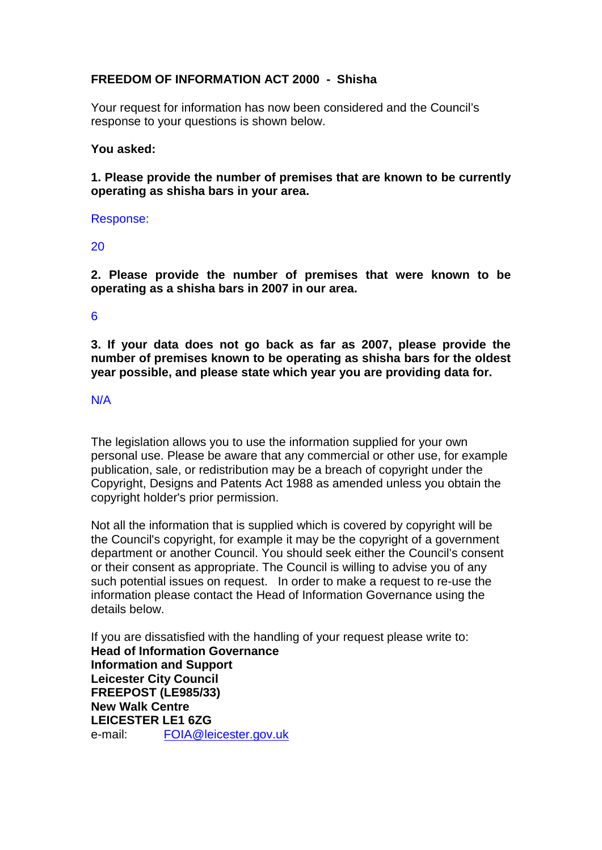# **FREEDOM OF INFORMATION ACT 2000 - Shisha**

Your request for information has now been considered and the Council's response to your questions is shown below.

## **You asked:**

**1. Please provide the number of premises that are known to be currently operating as shisha bars in your area.**

#### Response:

20

**2. Please provide the number of premises that were known to be operating as a shisha bars in 2007 in our area.**

### 6

**3. If your data does not go back as far as 2007, please provide the number of premises known to be operating as shisha bars for the oldest year possible, and please state which year you are providing data for.**

## N/A

The legislation allows you to use the information supplied for your own personal use. Please be aware that any commercial or other use, for example publication, sale, or redistribution may be a breach of copyright under the Copyright, Designs and Patents Act 1988 as amended unless you obtain the copyright holder's prior permission.

Not all the information that is supplied which is covered by copyright will be the Council's copyright, for example it may be the copyright of a government department or another Council. You should seek either the Council's consent or their consent as appropriate. The Council is willing to advise you of any such potential issues on request. In order to make a request to re-use the information please contact the Head of Information Governance using the details below.

If you are dissatisfied with the handling of your request please write to: **Head of Information Governance Information and Support Leicester City Council FREEPOST (LE985/33) New Walk Centre LEICESTER LE1 6ZG**  e-mail: FOIA@leicester.gov.uk